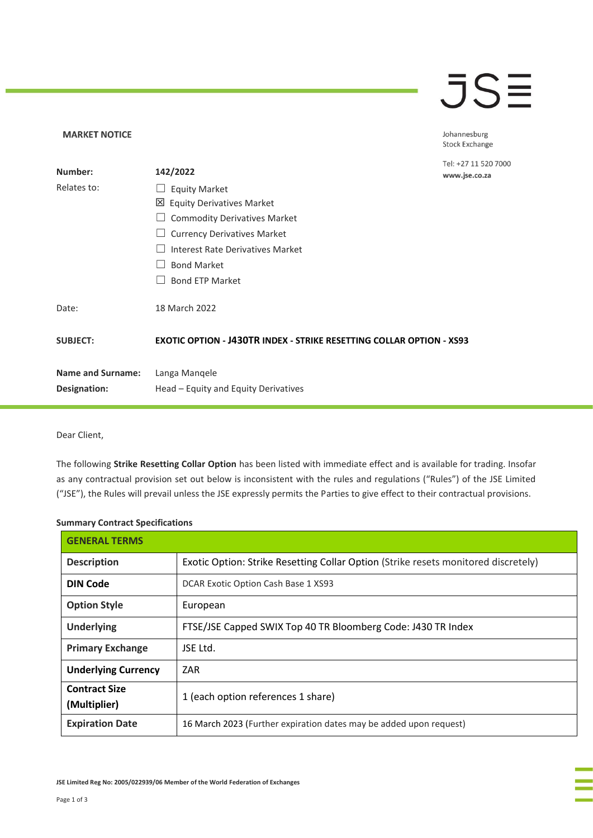## **JSE**

Johannesburg Stock Exchange

 $\overline{0}$ 

| Number:                  | 142/2022                                                                    | Tel: +27 11 520 700<br>www.jse.co.za |
|--------------------------|-----------------------------------------------------------------------------|--------------------------------------|
| Relates to:              | <b>Equity Market</b>                                                        |                                      |
|                          | 凶 Equity Derivatives Market                                                 |                                      |
|                          | <b>Commodity Derivatives Market</b>                                         |                                      |
|                          | <b>Currency Derivatives Market</b>                                          |                                      |
|                          | Interest Rate Derivatives Market                                            |                                      |
|                          | <b>Bond Market</b>                                                          |                                      |
|                          | <b>Bond ETP Market</b>                                                      |                                      |
| Date:                    | 18 March 2022                                                               |                                      |
| <b>SUBJECT:</b>          | <b>EXOTIC OPTION - J430TR INDEX - STRIKE RESETTING COLLAR OPTION - XS93</b> |                                      |
| <b>Name and Surname:</b> | Langa Manqele                                                               |                                      |
| Designation:             | Head – Equity and Equity Derivatives                                        |                                      |

Dear Client,

**MARKET NOTICE** 

The following **Strike Resetting Collar Option** has been listed with immediate effect and is available for trading. Insofar as any contractual provision set out below is inconsistent with the rules and regulations ("Rules") of the JSE Limited ("JSE"), the Rules will prevail unless the JSE expressly permits the Parties to give effect to their contractual provisions.

| <b>GENERAL TERMS</b>                 |                                                                                    |
|--------------------------------------|------------------------------------------------------------------------------------|
| <b>Description</b>                   | Exotic Option: Strike Resetting Collar Option (Strike resets monitored discretely) |
| <b>DIN Code</b>                      | DCAR Exotic Option Cash Base 1 XS93                                                |
| <b>Option Style</b>                  | European                                                                           |
| <b>Underlying</b>                    | FTSE/JSE Capped SWIX Top 40 TR Bloomberg Code: J430 TR Index                       |
| <b>Primary Exchange</b>              | JSE Ltd.                                                                           |
| <b>Underlying Currency</b>           | <b>ZAR</b>                                                                         |
| <b>Contract Size</b><br>(Multiplier) | 1 (each option references 1 share)                                                 |
| <b>Expiration Date</b>               | 16 March 2023 (Further expiration dates may be added upon request)                 |

## **Summary Contract Specifications**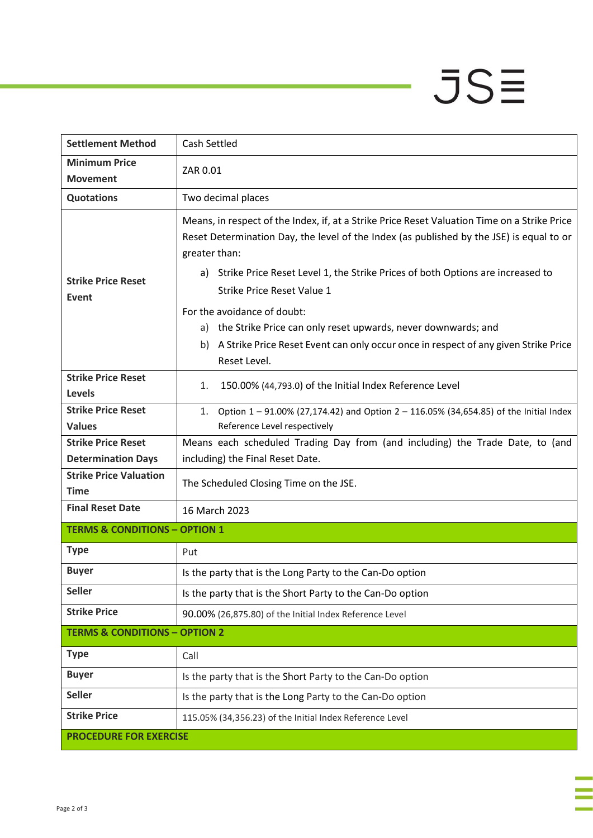## $JSE$

| <b>Settlement Method</b>                               | <b>Cash Settled</b>                                                                                                                                                                                                                                                                                                                                                |  |
|--------------------------------------------------------|--------------------------------------------------------------------------------------------------------------------------------------------------------------------------------------------------------------------------------------------------------------------------------------------------------------------------------------------------------------------|--|
| <b>Minimum Price</b><br><b>Movement</b>                | ZAR 0.01                                                                                                                                                                                                                                                                                                                                                           |  |
| <b>Quotations</b>                                      | Two decimal places                                                                                                                                                                                                                                                                                                                                                 |  |
| <b>Strike Price Reset</b><br>Event                     | Means, in respect of the Index, if, at a Strike Price Reset Valuation Time on a Strike Price<br>Reset Determination Day, the level of the Index (as published by the JSE) is equal to or<br>greater than:<br>a) Strike Price Reset Level 1, the Strike Prices of both Options are increased to<br><b>Strike Price Reset Value 1</b><br>For the avoidance of doubt: |  |
|                                                        | a) the Strike Price can only reset upwards, never downwards; and                                                                                                                                                                                                                                                                                                   |  |
|                                                        | A Strike Price Reset Event can only occur once in respect of any given Strike Price<br>b).<br>Reset Level.                                                                                                                                                                                                                                                         |  |
| <b>Strike Price Reset</b><br>Levels                    | 150.00% (44,793.0) of the Initial Index Reference Level<br>1.                                                                                                                                                                                                                                                                                                      |  |
| <b>Strike Price Reset</b>                              | 1. Option 1 – 91.00% (27,174.42) and Option 2 – 116.05% (34,654.85) of the Initial Index                                                                                                                                                                                                                                                                           |  |
| <b>Values</b>                                          | Reference Level respectively                                                                                                                                                                                                                                                                                                                                       |  |
| <b>Strike Price Reset</b><br><b>Determination Days</b> | Means each scheduled Trading Day from (and including) the Trade Date, to (and<br>including) the Final Reset Date.                                                                                                                                                                                                                                                  |  |
| <b>Strike Price Valuation</b>                          |                                                                                                                                                                                                                                                                                                                                                                    |  |
| <b>Time</b>                                            | The Scheduled Closing Time on the JSE.                                                                                                                                                                                                                                                                                                                             |  |
| <b>Final Reset Date</b>                                | 16 March 2023                                                                                                                                                                                                                                                                                                                                                      |  |
| <b>TERMS &amp; CONDITIONS - OPTION 1</b>               |                                                                                                                                                                                                                                                                                                                                                                    |  |
| <b>Type</b>                                            | Put                                                                                                                                                                                                                                                                                                                                                                |  |
| <b>Buyer</b>                                           | Is the party that is the Long Party to the Can-Do option                                                                                                                                                                                                                                                                                                           |  |
| <b>Seller</b>                                          | Is the party that is the Short Party to the Can-Do option                                                                                                                                                                                                                                                                                                          |  |
| <b>Strike Price</b>                                    | 90.00% (26,875.80) of the Initial Index Reference Level                                                                                                                                                                                                                                                                                                            |  |
| <b>TERMS &amp; CONDITIONS - OPTION 2</b>               |                                                                                                                                                                                                                                                                                                                                                                    |  |
| <b>Type</b>                                            | Call                                                                                                                                                                                                                                                                                                                                                               |  |
| <b>Buyer</b>                                           | Is the party that is the Short Party to the Can-Do option                                                                                                                                                                                                                                                                                                          |  |
| <b>Seller</b>                                          | Is the party that is the Long Party to the Can-Do option                                                                                                                                                                                                                                                                                                           |  |
| <b>Strike Price</b>                                    | 115.05% (34,356.23) of the Initial Index Reference Level                                                                                                                                                                                                                                                                                                           |  |
|                                                        |                                                                                                                                                                                                                                                                                                                                                                    |  |